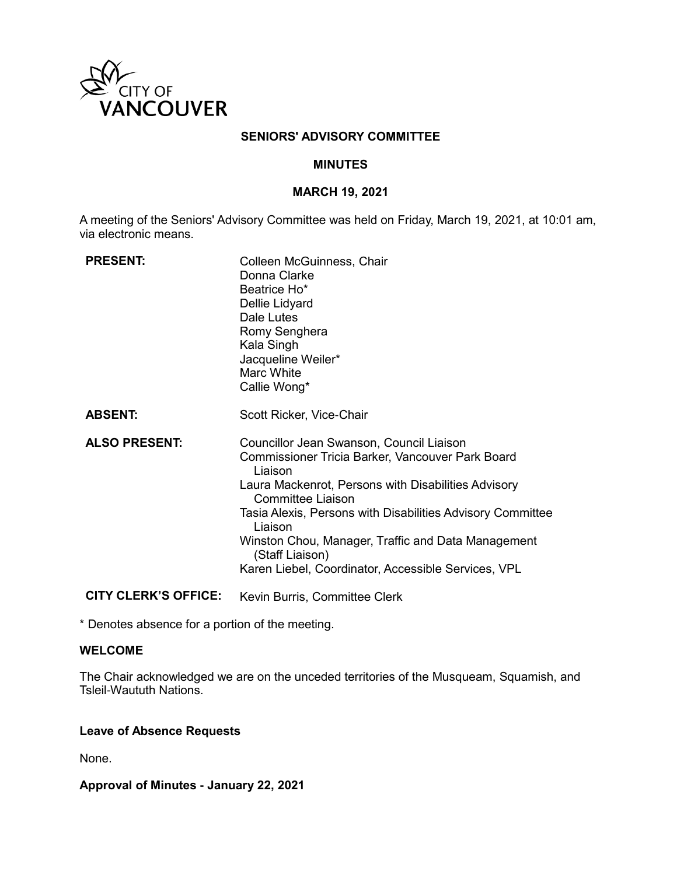

### **SENIORS' ADVISORY COMMITTEE**

#### **MINUTES**

#### **MARCH 19, 2021**

A meeting of the Seniors' Advisory Committee was held on Friday, March 19, 2021, at 10:01 am, via electronic means.

| <b>PRESENT:</b>      | Colleen McGuinness, Chair<br>Donna Clarke<br>Beatrice Ho*<br>Dellie Lidyard<br>Dale Lutes<br>Romy Senghera<br>Kala Singh<br>Jacqueline Weiler*<br>Marc White<br>Callie Wong*                                                                                                                                                                                                                 |
|----------------------|----------------------------------------------------------------------------------------------------------------------------------------------------------------------------------------------------------------------------------------------------------------------------------------------------------------------------------------------------------------------------------------------|
| <b>ABSENT:</b>       | Scott Ricker, Vice-Chair                                                                                                                                                                                                                                                                                                                                                                     |
| <b>ALSO PRESENT:</b> | Councillor Jean Swanson, Council Liaison<br>Commissioner Tricia Barker, Vancouver Park Board<br>Liaison<br>Laura Mackenrot, Persons with Disabilities Advisory<br>Committee Liaison<br>Tasia Alexis, Persons with Disabilities Advisory Committee<br>Liaison<br>Winston Chou, Manager, Traffic and Data Management<br>(Staff Liaison)<br>Karen Liebel, Coordinator, Accessible Services, VPL |

**CITY CLERK'S OFFICE:** Kevin Burris, Committee Clerk

\* Denotes absence for a portion of the meeting.

### **WELCOME**

The Chair acknowledged we are on the unceded territories of the Musqueam, Squamish, and Tsleil-Waututh Nations.

#### **Leave of Absence Requests**

None.

**Approval of Minutes - January 22, 2021**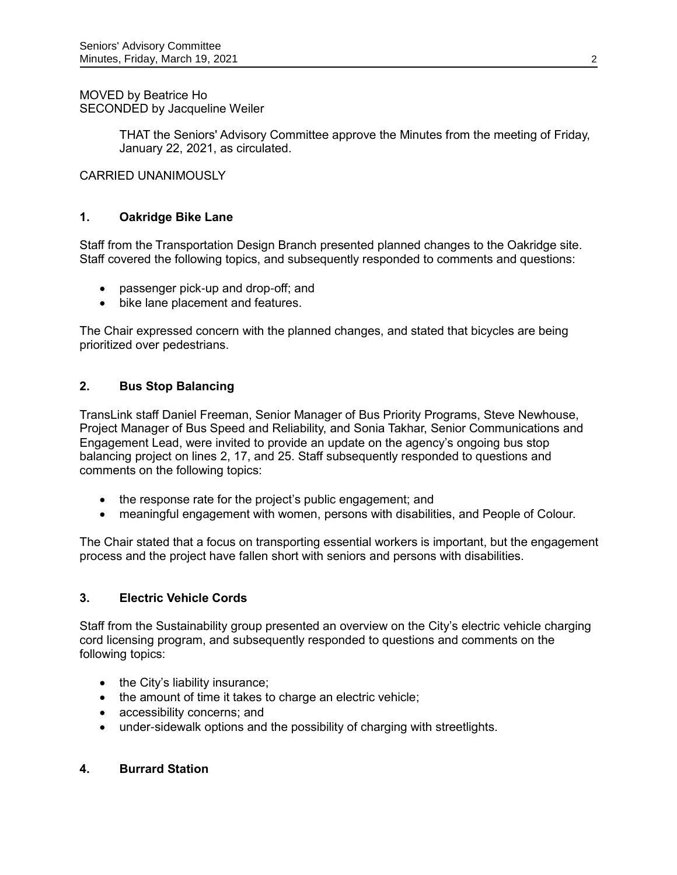MOVED by Beatrice Ho SECONDED by Jacqueline Weiler

> THAT the Seniors' Advisory Committee approve the Minutes from the meeting of Friday, January 22, 2021, as circulated.

CARRIED UNANIMOUSLY

# **1. Oakridge Bike Lane**

Staff from the Transportation Design Branch presented planned changes to the Oakridge site. Staff covered the following topics, and subsequently responded to comments and questions:

- passenger pick-up and drop-off; and
- bike lane placement and features.

The Chair expressed concern with the planned changes, and stated that bicycles are being prioritized over pedestrians.

# **2. Bus Stop Balancing**

TransLink staff Daniel Freeman, Senior Manager of Bus Priority Programs, Steve Newhouse, Project Manager of Bus Speed and Reliability, and Sonia Takhar, Senior Communications and Engagement Lead, were invited to provide an update on the agency's ongoing bus stop balancing project on lines 2, 17, and 25. Staff subsequently responded to questions and comments on the following topics:

- the response rate for the project's public engagement; and
- meaningful engagement with women, persons with disabilities, and People of Colour.

The Chair stated that a focus on transporting essential workers is important, but the engagement process and the project have fallen short with seniors and persons with disabilities.

### **3. Electric Vehicle Cords**

Staff from the Sustainability group presented an overview on the City's electric vehicle charging cord licensing program, and subsequently responded to questions and comments on the following topics:

- $\bullet$  the City's liability insurance;
- the amount of time it takes to charge an electric vehicle;
- accessibility concerns; and
- under-sidewalk options and the possibility of charging with streetlights.

### **4. Burrard Station**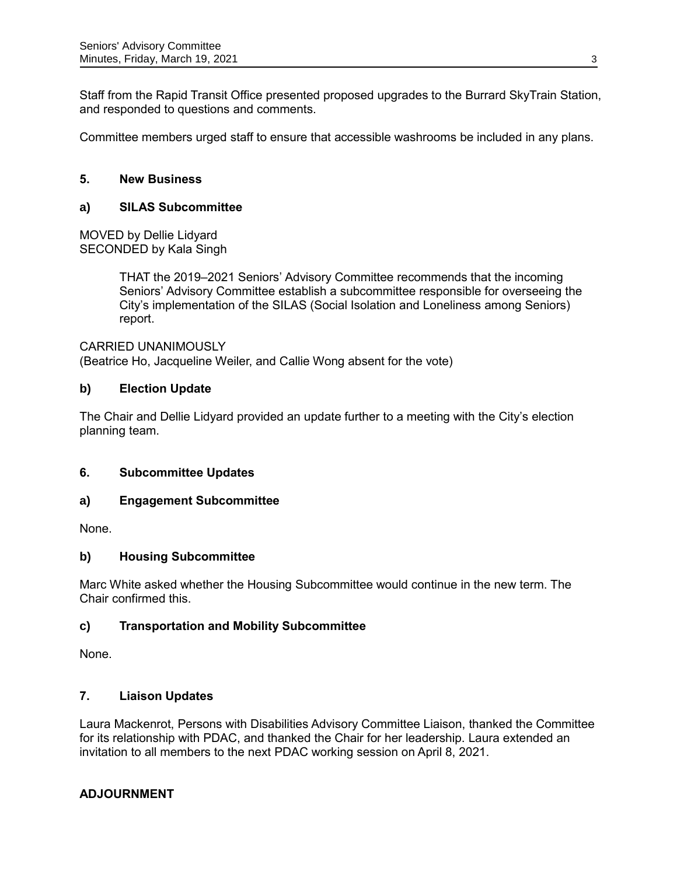Staff from the Rapid Transit Office presented proposed upgrades to the Burrard SkyTrain Station, and responded to questions and comments.

Committee members urged staff to ensure that accessible washrooms be included in any plans.

# **5. New Business**

# **a) SILAS Subcommittee**

MOVED by Dellie Lidyard SECONDED by Kala Singh

> THAT the 2019–2021 Seniors' Advisory Committee recommends that the incoming Seniors' Advisory Committee establish a subcommittee responsible for overseeing the City's implementation of the SILAS (Social Isolation and Loneliness among Seniors) report.

#### CARRIED UNANIMOUSLY

(Beatrice Ho, Jacqueline Weiler, and Callie Wong absent for the vote)

### **b) Election Update**

The Chair and Dellie Lidyard provided an update further to a meeting with the City's election planning team.

### **6. Subcommittee Updates**

### **a) Engagement Subcommittee**

None.

### **b) Housing Subcommittee**

Marc White asked whether the Housing Subcommittee would continue in the new term. The Chair confirmed this.

### **c) Transportation and Mobility Subcommittee**

None.

### **7. Liaison Updates**

Laura Mackenrot, Persons with Disabilities Advisory Committee Liaison, thanked the Committee for its relationship with PDAC, and thanked the Chair for her leadership. Laura extended an invitation to all members to the next PDAC working session on April 8, 2021.

### **ADJOURNMENT**